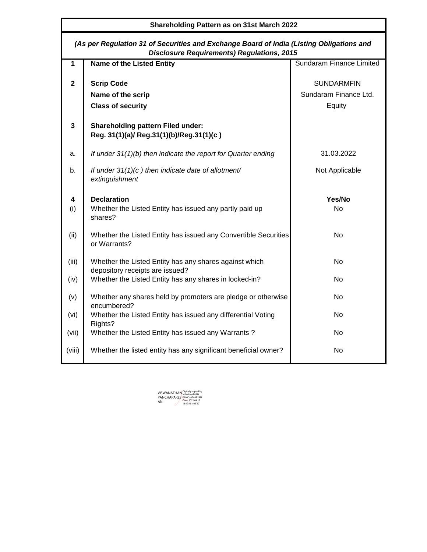| <b>Shareholding Pattern as on 31st March 2022</b> |                                                                                                                                               |                                 |  |  |  |  |  |  |  |  |  |
|---------------------------------------------------|-----------------------------------------------------------------------------------------------------------------------------------------------|---------------------------------|--|--|--|--|--|--|--|--|--|
|                                                   | (As per Regulation 31 of Securities and Exchange Board of India (Listing Obligations and<br><b>Disclosure Requirements) Regulations, 2015</b> |                                 |  |  |  |  |  |  |  |  |  |
| 1                                                 | <b>Name of the Listed Entity</b>                                                                                                              | <b>Sundaram Finance Limited</b> |  |  |  |  |  |  |  |  |  |
| $\mathbf{2}$                                      | <b>Scrip Code</b>                                                                                                                             | <b>SUNDARMEIN</b>               |  |  |  |  |  |  |  |  |  |
|                                                   | Name of the scrip                                                                                                                             | Sundaram Finance Ltd.           |  |  |  |  |  |  |  |  |  |
|                                                   | <b>Class of security</b>                                                                                                                      | Equity                          |  |  |  |  |  |  |  |  |  |
| 3                                                 | <b>Shareholding pattern Filed under:</b><br>Reg. 31(1)(a)/ Reg.31(1)(b)/Reg.31(1)(c)                                                          |                                 |  |  |  |  |  |  |  |  |  |
| a.                                                | If under 31(1)(b) then indicate the report for Quarter ending                                                                                 | 31.03.2022                      |  |  |  |  |  |  |  |  |  |
| b.                                                | If under 31(1)(c) then indicate date of allotment/<br>extinguishment                                                                          | Not Applicable                  |  |  |  |  |  |  |  |  |  |
| 4<br>(i)                                          | <b>Declaration</b><br>Whether the Listed Entity has issued any partly paid up<br>shares?                                                      | Yes/No<br><b>No</b>             |  |  |  |  |  |  |  |  |  |
| (ii)                                              | Whether the Listed Entity has issued any Convertible Securities<br>or Warrants?                                                               | No.                             |  |  |  |  |  |  |  |  |  |
| (iii)                                             | Whether the Listed Entity has any shares against which<br>depository receipts are issued?                                                     | <b>No</b>                       |  |  |  |  |  |  |  |  |  |
| (iv)                                              | Whether the Listed Entity has any shares in locked-in?                                                                                        | No.                             |  |  |  |  |  |  |  |  |  |
| (v)                                               | Whether any shares held by promoters are pledge or otherwise<br>encumbered?                                                                   | No.                             |  |  |  |  |  |  |  |  |  |
| (vi)                                              | Whether the Listed Entity has issued any differential Voting<br>Rights?                                                                       | No.                             |  |  |  |  |  |  |  |  |  |
| (vii)                                             | Whether the Listed Entity has issued any Warrants?                                                                                            | <b>No</b>                       |  |  |  |  |  |  |  |  |  |
| (viii)                                            | Whether the listed entity has any significant beneficial owner?                                                                               | No.                             |  |  |  |  |  |  |  |  |  |

VISWANATHAN PANCHAPAKES AN Digitally signed by VISWANATHAN PANCHAPAKESAN Date: 2022.04.15 16:47:45 +05'30'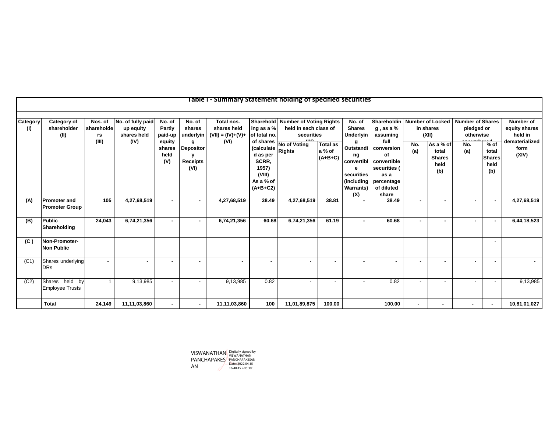|                 |                                              |                             |                                               |                                 |                                                  | Table I - Summary Statement holding of specified securities |                                                                                            |                                                                          |                                        |                                                                                          |                                                                                                    |            |                                                    |                                                    |                                                 |                                              |
|-----------------|----------------------------------------------|-----------------------------|-----------------------------------------------|---------------------------------|--------------------------------------------------|-------------------------------------------------------------|--------------------------------------------------------------------------------------------|--------------------------------------------------------------------------|----------------------------------------|------------------------------------------------------------------------------------------|----------------------------------------------------------------------------------------------------|------------|----------------------------------------------------|----------------------------------------------------|-------------------------------------------------|----------------------------------------------|
| Category<br>(1) | Category of<br>shareholder<br>(II)           | Nos. of<br>shareholde<br>rs | No. of fully paid<br>up equity<br>shares held | No. of<br>Partly<br>paid-up     | No. of<br>shares<br>underlyin                    | Total nos.<br>shares held<br>$(VII) = (IV)+(V)+$            | ing as a %<br>of total no.                                                                 | Sharehold Number of Voting Rights<br>held in each class of<br>securities |                                        | No. of<br><b>Shares</b><br><b>Underlyin</b>                                              | Shareholdin<br>$q$ , as a $%$<br>assuming                                                          |            | <b>Number of Locked</b><br>in shares<br>(XII)      | <b>Number of Shares</b><br>pledged or<br>otherwise |                                                 | <b>Number of</b><br>equity shares<br>held in |
|                 |                                              | (III)                       | (IV)                                          | equity<br>shares<br>held<br>(V) | q<br><b>Depositor</b><br><b>Receipts</b><br>(VI) | (VI)                                                        | of shares<br>(calculate<br>d as per<br>SCRR,<br>1957)<br>(VIII)<br>As a % of<br>$(A+B+C2)$ | No of Voting<br><b>Rights</b>                                            | <b>Total as</b><br>a % of<br>$(A+B+C)$ | a<br>Outstandi<br>ng<br>convertibl<br>е<br>securities<br>(including)<br>Warrants)<br>(X) | full<br>conversion<br>οf<br>convertible<br>securities<br>as a<br>percentage<br>of diluted<br>share | No.<br>(a) | As a % of<br>total<br><b>Shares</b><br>held<br>(b) | No.<br>(a)                                         | $%$ of<br>total<br><b>Shares</b><br>held<br>(b) | dematerialized<br>form<br>(XIV)              |
| (A)             | <b>Promoter and</b><br><b>Promoter Group</b> | 105                         | 4,27,68,519                                   | $\sim$                          | $\blacksquare$                                   | 4,27,68,519                                                 | 38.49                                                                                      | 4,27,68,519                                                              | 38.81                                  |                                                                                          | 38.49                                                                                              |            |                                                    |                                                    | $\sim$                                          | 4,27,68,519                                  |
| (B)             | <b>Public</b><br>Shareholding                | 24,043                      | 6,74,21,356                                   | $\sim$                          | ۰.                                               | 6,74,21,356                                                 | 60.68                                                                                      | 6,74,21,356                                                              | 61.19                                  |                                                                                          | 60.68                                                                                              |            |                                                    |                                                    | $\sim$                                          | 6,44,18,523                                  |
| (C)             | Non-Promoter-<br><b>Non Public</b>           |                             |                                               |                                 |                                                  |                                                             |                                                                                            |                                                                          |                                        |                                                                                          |                                                                                                    |            |                                                    |                                                    | $\overline{\phantom{a}}$                        |                                              |
| (C1)            | Shares underlying<br><b>DRs</b>              |                             |                                               |                                 |                                                  | $\sim$                                                      | $\blacksquare$                                                                             |                                                                          |                                        |                                                                                          | -                                                                                                  |            |                                                    |                                                    |                                                 |                                              |
| (C2)            | Shares held by<br><b>Employee Trusts</b>     |                             | 9,13,985                                      | $\sim$                          | $\blacksquare$                                   | 9,13,985                                                    | 0.82                                                                                       |                                                                          | $\overline{\phantom{a}}$               |                                                                                          | 0.82                                                                                               |            |                                                    |                                                    | $\overline{\phantom{a}}$                        | 9,13,985                                     |
|                 | Total                                        | 24,149                      | 11,11,03,860                                  | $\sim$                          | $\sim$                                           | 11,11,03,860                                                | 100                                                                                        | 11,01,89,875                                                             | 100.00                                 |                                                                                          | 100.00                                                                                             |            |                                                    |                                                    |                                                 | 10,81,01,027                                 |

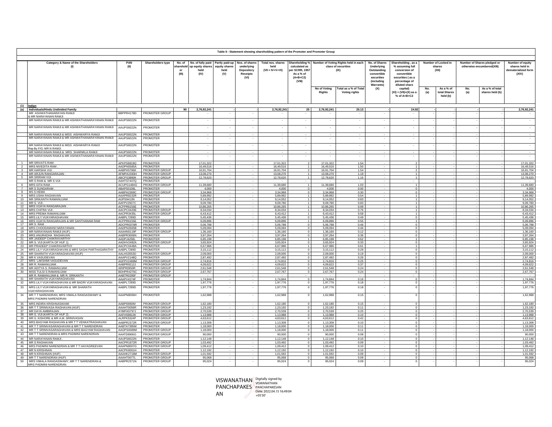|                         | Table II - Statement showing shareholding pattern of the Promoter and Promoter Group         |                                 |                                   |                           |                                                                             |                                     |                                                                       |                                                |                                                                        |                               |                                                                                    |                                                                                                                         |                                                                                                                             |            |                                         |                                                           |                                                                    |
|-------------------------|----------------------------------------------------------------------------------------------|---------------------------------|-----------------------------------|---------------------------|-----------------------------------------------------------------------------|-------------------------------------|-----------------------------------------------------------------------|------------------------------------------------|------------------------------------------------------------------------|-------------------------------|------------------------------------------------------------------------------------|-------------------------------------------------------------------------------------------------------------------------|-----------------------------------------------------------------------------------------------------------------------------|------------|-----------------------------------------|-----------------------------------------------------------|--------------------------------------------------------------------|
|                         | Category & Name of the Shareholders<br>PAN<br>(II)<br>(1)                                    |                                 | Shareholders type                 | sharehold<br>$\mathbf{m}$ | No. of No. of fully paid Partly paid-up<br>up equity shares<br>held<br>(IV) | <b>equity shares</b><br>held<br>(V) | Nos. of shares<br>underlying<br>Depository<br><b>Receipts</b><br>(VI) | Total nos. shares<br>held<br>$(VII = IV+V+VI)$ | calculated as<br>per SCRR, 1957<br>As a $%$ of<br>$(A+B+C2)$<br>(VIII) |                               | Shareholding % Number of Voting Rights held in each<br>class of securities<br>(IX) | No. of Shares<br>Underlying<br>Outstanding<br>convertible<br>securities<br><i><b>(including</b></i><br><b>Warrants)</b> | Shareholding, as a<br>% assuming full<br>conversion of<br>convertible<br>securities (as a<br>percentage of<br>diluted share |            | Number of Locked in<br>shares<br>(XII)  | Number of Shares pledged or<br>otherwise encumbered(XIII) | Number of equity<br>shares held in<br>dematerialized forn<br>(XIV) |
|                         |                                                                                              |                                 |                                   |                           |                                                                             |                                     |                                                                       |                                                |                                                                        | No of Voting<br><b>Rights</b> | Total as a % of Total<br><b>Voting rights</b>                                      | (X)                                                                                                                     | capital)<br>$(XI) = (VII)+(X)$ as a<br>$%$ of A+B+C2                                                                        | No.<br>(a) | As a $%$ of<br>total Shares<br>held (b) | As a % of total<br>No.<br>shares held (b)<br>(a)          |                                                                    |
|                         | (1) <u>Indian</u>                                                                            |                                 |                                   |                           |                                                                             |                                     |                                                                       |                                                |                                                                        |                               |                                                                                    |                                                                                                                         |                                                                                                                             |            |                                         |                                                           |                                                                    |
| (a)                     | Individuals/Hindu Undivided Family<br>MR ASHWATHANARAYAN RAMJI                               | BBPPR4178D                      | PROMOTER GROUP                    | 90 <sub>1</sub>           | 2,76,92,241                                                                 |                                     |                                                                       | 2,76,92,241                                    | 25                                                                     | 2,76,92,241                   | 25.13                                                                              |                                                                                                                         | 24.92                                                                                                                       |            |                                         |                                                           | 2,76,92,241                                                        |
|                         | & MR NARAYANAN RAMJI<br>MR NARAYANAN RAMJI & MR ASHWATHANARAYANAN RAMJI                      | AAUPS6022N                      | PROMOTER                          |                           |                                                                             |                                     |                                                                       |                                                |                                                                        |                               |                                                                                    |                                                                                                                         |                                                                                                                             |            |                                         |                                                           |                                                                    |
|                         |                                                                                              |                                 |                                   |                           |                                                                             |                                     |                                                                       |                                                |                                                                        |                               |                                                                                    |                                                                                                                         |                                                                                                                             |            |                                         |                                                           |                                                                    |
|                         | MR NARAYANAN RAMJI & MR ASHWATHANARAYANAN RAMJI                                              | AAUPS6022N                      | PROMOTER                          |                           |                                                                             |                                     | $\sim$                                                                | $\sim$                                         | $\overline{\phantom{a}}$                                               | ×.                            | ×.                                                                                 |                                                                                                                         |                                                                                                                             |            |                                         |                                                           |                                                                    |
|                         | MR NARAYANAN RAMJI & MISS AISHWARYA RAMJI<br>MR NARAYANAN RAMJI & MR ASHWATHANARAYANAN RAMJI | AAUPS6022N<br>AAUPS6022N        | PROMOTER<br>PROMOTER              |                           |                                                                             |                                     |                                                                       |                                                |                                                                        |                               |                                                                                    |                                                                                                                         |                                                                                                                             |            |                                         |                                                           | $\cdot$                                                            |
|                         |                                                                                              |                                 |                                   |                           |                                                                             |                                     |                                                                       |                                                |                                                                        |                               |                                                                                    |                                                                                                                         |                                                                                                                             |            |                                         |                                                           |                                                                    |
|                         | MR NARAYANAN RAMJI & MISS AISHWARYA RAMJI<br>Rep By F/G: MR N RAMJI                          | AAUPS6022N                      | PROMOTER                          |                           |                                                                             |                                     |                                                                       |                                                |                                                                        |                               |                                                                                    |                                                                                                                         |                                                                                                                             |            |                                         |                                                           |                                                                    |
|                         | MR NARAYANAN RAMJI & MRS SHARMILA RAMJI<br>MR NARAYANAN RAMJI & MR ASHWATHANARAYANAN RAMJI   | AAUPS6022N                      | PROMOTER                          |                           |                                                                             |                                     |                                                                       |                                                |                                                                        |                               |                                                                                    |                                                                                                                         |                                                                                                                             |            |                                         |                                                           | $\sim$                                                             |
|                         |                                                                                              | AAUPS6022N                      | <b>PROMOTER</b>                   |                           |                                                                             |                                     |                                                                       |                                                |                                                                        |                               |                                                                                    |                                                                                                                         |                                                                                                                             |            |                                         |                                                           | $\sim$                                                             |
| $\overline{2}$          | <b>MR SRIVATS RAM</b><br><b>MRS NIVEDITA RAM</b>                                             | APKPS8819Q<br>AADPN0585A        | PROMOTER<br><b>PROMOTER</b>       |                           | 17,01,322<br>16,49,516                                                      |                                     |                                                                       | 17,01,322<br>16.49.516                         |                                                                        | 17.01.322<br>16,49,516        | 1.54<br>1.50                                                                       |                                                                                                                         |                                                                                                                             |            |                                         |                                                           | 17,01,322<br>16,49,516                                             |
| $\overline{\mathbf{3}}$ | MR HARSHA VIJI.                                                                              | AABPH5786K                      | PROMOTER GROUP                    |                           | 16,91,704                                                                   |                                     |                                                                       | 16,91,704                                      |                                                                        | 16,91,704                     | 1.54                                                                               |                                                                                                                         |                                                                                                                             |            |                                         |                                                           | 16,91,704                                                          |
| 4                       | MR ARJUN RANGARAJAN<br><b>MR SRIRAM VIJI</b>                                                 | AFMPA1593H                      | PROMOTER GROUP                    |                           | 13.08.270                                                                   |                                     |                                                                       | 13.08.270                                      |                                                                        | 13.08.270                     | 1.19<br>1.16                                                                       |                                                                                                                         |                                                                                                                             |            |                                         |                                                           | 13,08,270                                                          |
| 5                       | MR S RAM & MR S VIJI                                                                         | ABCPS3880K<br>AAHTS7447Q        | PROMOTER GROUP<br>PROMOTER        |                           | 12,78,620                                                                   |                                     |                                                                       | 12,78,620                                      |                                                                        | 12,78,620                     |                                                                                    |                                                                                                                         |                                                                                                                             |            |                                         |                                                           | 12,78,620                                                          |
| 6                       | <b>MRS GITA RAM</b>                                                                          | ACUPG1484G                      | PROMOTER GROUP                    |                           | 11,39,680                                                                   |                                     |                                                                       | 11,39,680                                      |                                                                        | 11,39,680                     | 1.03                                                                               |                                                                                                                         |                                                                                                                             |            |                                         |                                                           | 11,39,680                                                          |
| $\overline{7}$          | <b>MR S SUNDARAM</b><br>8 MSSHEMA                                                            | ABAPS0106L<br>AABPH2369C        | PROMOTER<br>PROMOTER GROUP        |                           | 4.000<br>3.34.968                                                           |                                     |                                                                       | 4.000<br>3.34.968                              | $^{\circ}$<br>$\Omega$                                                 | 4.000<br>3.34.968             | 0.00<br>0.30                                                                       |                                                                                                                         |                                                                                                                             |            |                                         |                                                           | 4.000<br>3,34,968                                                  |
|                         | 9 MRS USHA RAGHAVAN                                                                          | AAAPR8232R                      | PROMOTER                          |                           | 5,89,992                                                                    |                                     |                                                                       | 5,89,992                                       |                                                                        | 5,89,992                      | 0.54                                                                               |                                                                                                                         |                                                                                                                             |            |                                         |                                                           | 5,89,992                                                           |
|                         | 10 MR SRIKANTH RAMANUJAM<br>11 MR S. VI.II.                                                  | AUPS9413N<br>AAFPV2927C         | PROMOTER<br>PROMOTER              |                           | 9,14,052<br>9,09,780                                                        |                                     |                                                                       | 9,14,052<br>9,09,780                           |                                                                        | 9,14,052<br>9,09,780          | 0.83<br>0.83                                                                       |                                                                                                                         |                                                                                                                             |            |                                         |                                                           | 9,14,052<br>9,09,780                                               |
|                         | 12 MRS VIJAYA RANGARAJAN.                                                                    | ACFPR6155E                      | PROMOTER                          |                           | 10,86,265                                                                   |                                     |                                                                       | 10,86,265                                      |                                                                        | 10,86,265                     | 0.99                                                                               |                                                                                                                         |                                                                                                                             |            |                                         |                                                           | 10,86,26                                                           |
|                         | 13 MRS CHITRA VIJI<br>14 MRS PREMA RAMANUJAM                                                 | AACPC0420E<br>AACPR3435L        | PROMOTER GROUP<br>PROMOTER GROUP  |                           | 8.34.034<br>6,43,412                                                        |                                     |                                                                       | 8.34.034<br>6,43,412                           |                                                                        | 8.34.034<br>6,43,412          | 0.76<br>0.58                                                                       |                                                                                                                         |                                                                                                                             |            |                                         |                                                           | 8.34.034<br>6,43,41                                                |
|                         | 15 MRS LILY VIJAYARAGHAVAN                                                                   | AABPL7289D                      | PROMOTER                          |                           | 5.45.436                                                                    |                                     |                                                                       | 5.45.436                                       |                                                                        | 5.45.436                      | 0.49                                                                               |                                                                                                                         |                                                                                                                             |            |                                         |                                                           | 5.45.436                                                           |
|                         | 16 MRS VIJAYA RANGARAJAN & MR SANTHANAM RAM<br>17 MR S. RAM.                                 | ACFPR6155F<br>ADCPR0378R        | PROMOTER GROUP<br>PROMOTER        |                           | 6.09.896<br>5.06.788                                                        |                                     |                                                                       | 6.09.896<br>5.06.788                           | $\Omega$                                                               | 6,09,896<br>5.06.788          | 0.55<br>0.46                                                                       |                                                                                                                         |                                                                                                                             |            |                                         |                                                           | 6.09.89<br>5.06.78                                                 |
|                         | 18 MRS CHOODAMANI NARAYANAN                                                                  | AADPN2665B                      | PROMOTER                          |                           | 5.09.094                                                                    |                                     |                                                                       | 5.09.094                                       | $\mathbf 0$                                                            | 5,09,094                      | 0.46                                                                               |                                                                                                                         |                                                                                                                             |            |                                         |                                                           | 5.09.09                                                            |
| 20                      | 19 MR NARAYANAN RAMJI (HUF)<br><b>MRS ANURADHA RAGHAVAN</b>                                  | AAAHN0119F<br>AABPR3006N        | PROMOTER GROUP<br>PROMOTER        |                           | 1,36,160<br>3.97.264                                                        |                                     |                                                                       | 1,36,160<br>3,97,264                           | $^{\circ}$                                                             | 1,36,160<br>3,97,264          | 0.12<br>0.36                                                                       |                                                                                                                         |                                                                                                                             |            |                                         |                                                           | 1,36,160<br>3,97,264                                               |
|                         | 21 MR JAIDEEP CHAKRAVARTHY                                                                   | AADPJ4258L                      | PROMOTER                          |                           | 6.85.198                                                                    |                                     |                                                                       | 6.85.198                                       |                                                                        | 6.85.198                      | 0.62                                                                               |                                                                                                                         |                                                                                                                             |            |                                         |                                                           | 6.85.198                                                           |
| 23                      | 22 MR S. VIJI (KARTA OF HUF 1)<br>MR PRADEEP CHAKRAVARTHY                                    | AADHV2482A<br>AACPC0448A        | PROMOTER GROUP<br>PROMOTER        |                           | 3,65,924<br>6,67,986                                                        |                                     |                                                                       | 3,65,924<br>6.67.986                           | $\circ$                                                                | 3,65,924<br>6,67,986          | 0.33<br>0.61                                                                       |                                                                                                                         |                                                                                                                             |            |                                         |                                                           | 3,65,924<br>6,67,986                                               |
|                         | 24 MRS LILY VIJAYARAGHAVAN & MRS SASHI PARTHASARATHY                                         | AABPL7289D                      | PROMOTER                          |                           | 3,15,112                                                                    |                                     |                                                                       | 3,15,112                                       | $\Omega$                                                               | 3,15,112                      | 0.29                                                                               |                                                                                                                         |                                                                                                                             |            |                                         |                                                           | 3,15,112                                                           |
|                         | 25 MR SHARATH VIJAYARAGHAVAN (HUF)<br>26 MR K VASUDEVAN                                      | AALHS3553D<br>AAAPV2148Q        | PROMOTER GROUP<br>PROMOTER        |                           | 2,09,000<br>2,87,492                                                        |                                     |                                                                       | 2.09.000<br>2,87,492                           | $\Omega$<br>$\circ$                                                    | 2.09.000<br>2,87,492          | 0.19<br>0.26                                                                       |                                                                                                                         |                                                                                                                             |            |                                         |                                                           | 2,09,000<br>2,87,492                                               |
|                         | 27 MRS LAKSHMI VASUDEVAN                                                                     | AGFPV2469M                      | PROMOTER GROUP                    |                           | 2.74.816                                                                    |                                     |                                                                       | 2.74.816                                       |                                                                        | 2.74.816                      | 0.25                                                                               |                                                                                                                         |                                                                                                                             |            |                                         |                                                           | 2.74.81                                                            |
|                         | 28 MR R. RAMANUJAM.<br>29 MR ADITYA S. RAMANUJAM                                             | AABPR9212J<br>ARIPR0950R        | PROMOTER GROUP<br>PROMOTER GROUP  |                           | 4.09.622<br>2,61,548                                                        |                                     |                                                                       | 4.09.622<br>2.61.548                           | $\Omega$<br>$\circ$                                                    | 4.09.622<br>2,61,548          | 0.37<br>0.24                                                                       |                                                                                                                         |                                                                                                                             |            |                                         |                                                           | 4,09,622<br>2.61.548                                               |
|                         | 30   MISS TULSI S RAMANUJAM                                                                  | BDHPR4276C                      | PROMOTER GROUP                    |                           | 2,67,767                                                                    |                                     |                                                                       | 2.67.767                                       | $^{\circ}$                                                             | 2,67,767                      | 0.24                                                                               |                                                                                                                         |                                                                                                                             |            |                                         |                                                           | 2,67,767                                                           |
|                         | MR R. RAMANUJAM & MR R. SRIKANTH<br>31 MR SHARATH VIJAYARAGHAVAN                             | AABTR0295F<br>AAAPV4274F        | PROMOTER GROUP<br>PROMOTER        |                           | 1,74,844                                                                    |                                     |                                                                       | 1,74,844                                       |                                                                        | 1,74,844                      | 0.16                                                                               |                                                                                                                         |                                                                                                                             |            |                                         |                                                           | 1,74,844                                                           |
| 32                      | MRS LILY VIJAYARAGHAVAN & MR BADRI VIJAYARAGHAVAN                                            | AABPI 7289D                     | <b>PROMOTER</b>                   |                           | 1.97.776                                                                    | $\sim$                              | <b>A</b>                                                              | 1.97.776                                       | $\Omega$                                                               | 1.97.776                      | 0.18                                                                               | ×.                                                                                                                      | $\Omega$                                                                                                                    |            |                                         |                                                           | 1.97.776                                                           |
| 33                      | MRS LILY VIJAYARAGHAVAN & MR SHARATH<br>VIJAYARAGHAVAN                                       | AABPL7289D                      | PROMOTER                          |                           | 1,97,776                                                                    |                                     | $\sim$                                                                | 1,97,776                                       | $\mathbf 0$                                                            | 1,97,776                      | 0.18                                                                               | ٠                                                                                                                       |                                                                                                                             |            |                                         |                                                           | 1,97,776                                                           |
| 34                      | MR T T NARENDRAN, MRS VIMALA RANGASWAMY &<br>MRS PADMINI NARENDRAN                           | AAAPN8006H                      | PROMOTER                          |                           | 1,62,988                                                                    |                                     | $\sim$                                                                | 1,62,988                                       | $\Omega$                                                               | 1,62,988                      | 0.15                                                                               |                                                                                                                         |                                                                                                                             |            |                                         |                                                           | 1,62,988                                                           |
|                         | 35 MRS INDIRA KRISHNASWAMI                                                                   | AABPI0060M                      | PROMOTER GROUP                    |                           | 1.62.180                                                                    |                                     |                                                                       | 1.62.180                                       | $\Omega$                                                               | 1.62.180                      | 0.15                                                                               |                                                                                                                         |                                                                                                                             |            |                                         |                                                           | 1,62,180                                                           |
|                         | 36 MR T T SRINIVASA RAGHAVAN (HUF)<br>37 MR DAYA AMBIRAJAN.                                  | AAAHT0056R<br>AYMPA5797J        | PROMOTER GROUP<br>PROMOTER GROUP  |                           | 1.23.192<br>2,70,539                                                        |                                     |                                                                       | 1.23.192<br>2,70,539                           | $\Omega$<br>$\mathbf 0$                                                | 1.23.192<br>2,70,539          | 0.11<br>0.25                                                                       |                                                                                                                         |                                                                                                                             |            |                                         |                                                           | 1.23.192<br>2,70,539                                               |
|                         | 38 MR S. VIJI (KARTA OF HUF 2)                                                               | AAFHS9812K                      | PROMOTER GROUP                    |                           | 1.13.988                                                                    |                                     |                                                                       | 1.13.988                                       | $^{\circ}$                                                             | 1.13.988                      | 0.10                                                                               |                                                                                                                         |                                                                                                                             |            |                                         |                                                           | 1.13.988                                                           |
| 39                      | MR S. KISHORE & MR A.M. SRINIVASAN<br>40 MRS BAGYAM RAGHAVAN & MR T T VENKATRAGHAVAN         | ALRPK5324P<br>AABPR2372R        | PROMOTER GROUP<br>PROMOTER GROUP  |                           | 4.63.612<br>1,13,308                                                        |                                     |                                                                       | 4.63.612<br>1,13,308                           | $\circ$<br>$\mathbf 0$                                                 | 4.63.612<br>1,13,308          | 0.42<br>0.10                                                                       |                                                                                                                         |                                                                                                                             |            |                                         |                                                           | 4,63,612<br>1,13,308                                               |
|                         | 41 MR TT SRINIVASARAGHAVAN & MR TT NARENDRAN                                                 | AABTA7395M                      | PROMOTER                          |                           | 1.18.000                                                                    |                                     |                                                                       | 1,18,000                                       | $\Omega$                                                               | 1.18.000                      | 0.11                                                                               |                                                                                                                         |                                                                                                                             |            |                                         |                                                           | 1,18,000                                                           |
|                         | 42 MR TT SRINIVASARAGHAVAN & MRS BAGYAM RAGHAVAN                                             | AAGPS0089M                      | PROMOTER GROUP                    |                           | 1,18,000                                                                    |                                     |                                                                       | 1.18.000                                       | $^{\circ}$                                                             | 1.18.000                      | 0.11                                                                               |                                                                                                                         |                                                                                                                             |            |                                         |                                                           | 1,18,000                                                           |
|                         | 43 MR T T NARENDRAN & MRS PADMINI NARENDRAN<br>44 MR NARAYANAN RAMJI                         | AAATD8906G                      | PROMOTER GROUP<br><b>PROMOTEF</b> |                           | 90,000<br>1,12,148                                                          |                                     |                                                                       | 90,000<br>1,12,148                             | $\circ$<br>$\Omega$                                                    | 90,000<br>1,12,148            | 0.08<br>0.10                                                                       |                                                                                                                         |                                                                                                                             |            |                                         |                                                           | 90,000<br>1,12,148                                                 |
|                         | 45 MR S RAGHAVAN                                                                             | <b>AAUPS6022N</b><br>AACPR1872R | PROMOTER GROUP                    |                           | 1,03,492                                                                    |                                     |                                                                       | 1,03,492                                       | $\circ$                                                                | 1,03,492                      | 0.09                                                                               |                                                                                                                         |                                                                                                                             |            |                                         |                                                           | 1,03,492                                                           |
| 46                      | MRS PADMINI NARENDRAN & MR T T HAYAGREEVAN                                                   | AAAPN8007G                      | PROMOTER GROUP                    |                           | 1.09.412                                                                    |                                     |                                                                       | 1.09.412                                       | $\circ$                                                                | 1.09.412                      | 0.10                                                                               |                                                                                                                         |                                                                                                                             |            |                                         |                                                           | 1,09,412                                                           |
|                         | 47 MR N KRISHNAN<br>48 MR N KRISHNAN (HUF)                                                   | AACPK6061H<br>AAAHK2718M        | PROMOTER<br>PROMOTER GROUP        |                           | 1,12,192<br>1,01,592                                                        |                                     |                                                                       | 1,12,192<br>1.01.592                           | $\Omega$                                                               | 1.12.192<br>1,01,592          | 0.10<br>0.09                                                                       |                                                                                                                         |                                                                                                                             |            |                                         |                                                           | 1,12,192<br>1,01,592                                               |
|                         | 49 MR T T NARENDRAN (HUF)                                                                    | AAAHT0077L                      | PROMOTER GROUP                    |                           | 95,068                                                                      |                                     | $\sim$                                                                | 95,068                                         | $^{\circ}$                                                             | 95,068                        | 0.09                                                                               | $\sim$                                                                                                                  |                                                                                                                             |            |                                         |                                                           | 95,068                                                             |
| 50                      | MRS VIMALA RANGASWAMY, MR T T NARENDRAN &<br>MRS PADMINI NARENDRAN                           | AABPR2371N                      | PROMOTER GROUP                    |                           | 95.024                                                                      |                                     |                                                                       | 95.024                                         |                                                                        | 95.024                        | 0.05                                                                               |                                                                                                                         |                                                                                                                             |            |                                         |                                                           | 95,024                                                             |

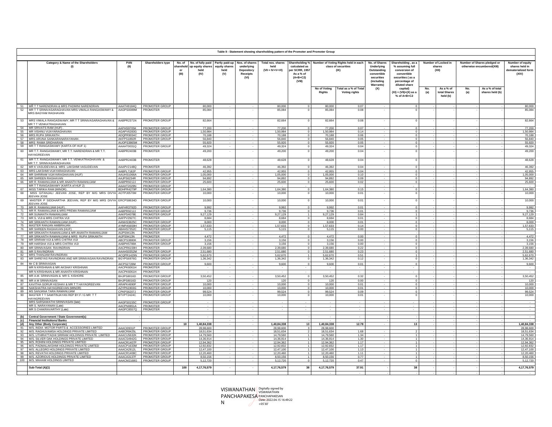

|          |                                                                                                                                  |                          |                                         |                        |             |             |                        | (VIII)               |                        |                                               | <i><b>(including</b></i><br>Warrants) | percentage of<br>diluted share                     |           |                                       |            |                                    |                        |
|----------|----------------------------------------------------------------------------------------------------------------------------------|--------------------------|-----------------------------------------|------------------------|-------------|-------------|------------------------|----------------------|------------------------|-----------------------------------------------|---------------------------------------|----------------------------------------------------|-----------|---------------------------------------|------------|------------------------------------|------------------------|
|          |                                                                                                                                  |                          |                                         |                        |             |             |                        |                      | No of Voting<br>Rights | Total as a % of Total<br><b>Voting rights</b> | (X)                                   | capital)<br>$(XI) = (VII)+(X)$ as a<br>% of A+B+C2 | No<br>(a) | As a % of<br>total Shares<br>held (b) | No.<br>(a) | As a % of total<br>shares held (b) |                        |
|          |                                                                                                                                  |                          |                                         |                        |             |             |                        |                      |                        |                                               |                                       |                                                    |           |                                       |            |                                    |                        |
| 52       | 51 MR TT NARENDRAN & MRS PADMINI NARENDRAN<br>MR T T SRINIVASARAGHAVAN MRS VIMALA RANGASWAMY & AAGPS0089M<br>MRS BAGYAM RAGHAVAN | AAATH9184Q               | PROMOTER GROUP<br>PROMOTER              | 80,000<br>85,084       |             | $\sim$      | 80,000<br>85,084       | $\Omega$<br>$\Omega$ | 80,000<br>85,084       | 0.07<br>0.08                                  |                                       |                                                    |           |                                       |            |                                    | 80,000<br>85.084       |
| 53       | MRS VIMALA RANGASWAMY, MR T T SRINIVASARAGHAVAN & AABPR2371N<br>MR T T VENKATRAGHAVAN                                            |                          | PROMOTER GROUP                          | 82,664                 |             |             | 82,664                 |                      | 82.664                 | 0.08                                          |                                       |                                                    |           |                                       |            |                                    | 82,664                 |
|          | 54 MR SRIVATS RAM (HUF)                                                                                                          | AAPHS9705K               | PROMOTER GROUP                          | 77,200                 |             | the control | 77,200                 | $\Omega$             | 77,200                 | 0.07                                          |                                       |                                                    |           |                                       |            |                                    | 77,200                 |
|          | 55 MR VISHNU VIJAYARAGHAVAN                                                                                                      | AGAPV6283G               | PROMOTER GROUP                          | 1.50.984               |             | the control | 1.50.984               | $\Omega$             | 1.50.984               | 0.14                                          |                                       |                                                    |           |                                       |            |                                    | 1.50.984               |
| 56       | <b>MRS RUPA SRIKANTH</b><br>57 MRS ARUNA SANKARANARAYANAN                                                                        | ADQPR9034C<br>AKFPS1892R | PROMOTER GROUP<br>PROMOTER GROUP        | 70,188<br>56,840       |             |             | 70,188<br>56,840       | $\Omega$             | 70,188<br>56,840       | 0.06<br>0.05                                  |                                       |                                                    |           |                                       |            |                                    | 70,188<br>56,840       |
| 58       | MRS RAMA SRIDHARAN                                                                                                               | AUOPS3865M               | PROMOTER                                | 55,920                 | <b>1979</b> | $\sim$      | 55.920                 |                      | 55,920                 | 0.05                                          | <b>COL</b>                            |                                                    |           |                                       |            |                                    | 55,920                 |
| 59       | MR T T RANGASWAMY (KARTA OF HUF 1)                                                                                               | AAAHT0031Q               | PROMOTER GROUP                          | 49,324                 | $\sim$      | $\sim$      | 49,324                 |                      | 49,324                 | 0.04                                          | $\sim$                                |                                                    |           |                                       |            |                                    | 49,324                 |
| 60       | MR T.T. RANGASWAMY, MR T.T. NARENDRAN & MR T.T.<br>HAYAGREEVAN                                                                   | AABPR2403B               | PROMOTER                                | 49,200                 | $\sim$      | $\sim$      | 49,200                 |                      | 49,200                 | 0.04                                          | ٠                                     |                                                    |           |                                       |            |                                    | 49,200                 |
| 61       | MR T.T. RANGASWAMY, MR T.T. VENKATRAGHAVAN &<br>MR T.T. SRINIVASARAGHAVAN                                                        | AABPR2403B               | PROMOTER                                | 48,628                 |             |             | 48,628                 |                      | 48,628                 | 0.04                                          |                                       |                                                    |           |                                       |            |                                    | 48,628                 |
| 62       | MR K VASUDEVAN & MRS LAKSHMI VASUDEVAN                                                                                           | AAAPV2148Q               | PROMOTER                                | 46,392                 |             | $\sim$      | 46,392                 | $\Omega$             | 46,392                 | 0.04                                          |                                       |                                                    |           |                                       |            |                                    | 46,392                 |
| 63       | MRS LAKSHMI VIJAYARAGHAVAN                                                                                                       | AABPL7182P               | PROMOTER GROUP                          | 42,955                 |             |             | 42,955                 | $\Omega$             | 42,955                 | 0.04                                          | -71                                   |                                                    |           |                                       |            |                                    | 42,955                 |
|          | 64 MR SHRIRAM VIJAYARAGHAVAN (HUF)<br>65 MR SHREEN RAGHAVAN                                                                      | AAUHS1066A<br>AAJPS6234R | <b>PROMOTER GROUP</b><br>PROMOTER GROUP | 1,05,000<br>94,892     |             |             | 1,05,000<br>94,892     |                      | 1,05,000<br>94,892     | 0.10<br>0.09                                  |                                       |                                                    |           |                                       |            |                                    | 1,05,000               |
|          | 66 MR R. RAMANUJAM & MR ANANTH RAMANUJAM                                                                                         | AABPR9212J               | PROMOTER GROUP                          | 25,600                 |             |             | 25,600                 | $\Omega$             | 25,600                 | 0.02                                          |                                       |                                                    |           |                                       |            |                                    | 94,892<br>25,600       |
|          | MR T T RANGASWAMY (KARTA of HUF 2)                                                                                               | AAAHT2029N               | PROMOTER GROUP                          |                        |             |             |                        |                      |                        |                                               |                                       |                                                    |           |                                       |            |                                    |                        |
|          | 67 MISS TARIKA RAM (MINOR)                                                                                                       | BDHPR4279P               | PROMOTER GROUP                          | 1,64,380               | $\sim$      | $\sim$      | 1,64,380               | $\overline{0}$       | 1.64.380               | 0.15                                          | $\sim$                                | $\Omega$                                           |           |                                       |            |                                    | 1,64,380               |
| 68<br>69 | MISS GITANJALI JEEVAN JOSE, REP BY M/G MRS DIVYA AOTPJ0570M<br>JEEVAN JOSE                                                       |                          | PROMOTER GROUP                          | 10,000                 |             |             | 10,000                 | $\Omega$             | 10,000                 | 0.01                                          |                                       |                                                    |           |                                       |            |                                    | 10,000                 |
|          | MASTER P SIDDHARTHA JEEVAN, REP BY M/G MRS DIVYA ERCPS8634D<br>JEEVAN JOSE                                                       |                          | PROMOTER GROUP                          | 10,000                 |             |             | 10,000                 | $\Omega$             | 10,000                 | 0.01                                          |                                       |                                                    |           |                                       |            |                                    | 10,000                 |
|          | 70 MR R. RAMANUJAM (HUF)                                                                                                         | AAFHR3792D               | PROMOTER GROUP                          | 9.992                  |             |             | 9,992                  | $\Omega$             | 9.992                  | 0.01                                          |                                       |                                                    |           |                                       |            |                                    | 9,992                  |
|          | 71 MR R. RAMANUJAM & MRS PREMA RAMANUJAM                                                                                         | AABPR9212J               | PROMOTER GROUP                          | 9,736                  | $\sim$      | $\sim$      | 9,736                  | $\Omega$             | 9,736                  | 0.01                                          | $\sim$                                |                                                    |           |                                       |            |                                    | 9,736                  |
| 73       | 72 MR SUMANTH RAMANUJAM                                                                                                          | AAKPS4078E               | PROMOTER GROUP                          | 9,27,129               |             |             | 9,27,129               |                      | 9,27,129               | 0.84                                          |                                       |                                                    |           |                                       |            |                                    | 9,27,129               |
|          | MR S. VIJI & MRS CHITRA VIJI<br>74 MR SRIKANTH RAMANUJAM (HUF)                                                                   | AAFPV2927C<br>AANHS3825C | <b>PROMOTER</b><br>PROMOTER GROUP       | 8.684<br>8,000         |             |             | 8.684<br>8,000         |                      | 8.684<br>8,000         | 0.01<br>0.01                                  |                                       |                                                    |           |                                       |            |                                    | 8.684<br>8,000         |
|          | 75 MASTER RANJAN AMBIRAJAN                                                                                                       | AYMPA5659H               | PROMOTER GROUP                          | 1,57,633               |             |             | 1,57,633               | $\Omega$             | 1,57,633               | 0.14                                          |                                       |                                                    |           |                                       |            |                                    | 1,57,633               |
| 76       | MR SHREEN RAGHAVAN (HUF)                                                                                                         | ABAHS7352C               | PROMOTER GROUP                          | 5,115                  |             |             | 5,115                  |                      | 5,115                  | 0.00                                          |                                       |                                                    |           |                                       |            |                                    | 5,115                  |
|          | MR SRIKANTH RAMANUJAM & MR ANANTH RAMANUJAM                                                                                      | AIJPS9413N               | PROMOTER                                |                        |             |             |                        |                      |                        |                                               |                                       |                                                    |           |                                       |            |                                    |                        |
| 78       | 77 MR SRIKANTH RAMANUJAM & MRS RUPA SRIKANTH<br>MR SRIRAM VIJI & MRS CHITRA VIJI                                                 | AIJPS9413N<br>ABCPS3880K | PROMOTER<br>PROMOTER GROUP              | 4,472<br>3.156         | $\sim$      | $\sim$      | 4,472<br>3.156         | $\Omega$<br>$\Omega$ | 4,472<br>3.156         | 0.00<br>0.00                                  | $\sim$                                |                                                    |           |                                       |            |                                    | 4,472<br>3,156         |
| 79       | MR HARSHA VIJI & MRS CHITRA VIJI                                                                                                 | AABPH5786K               | PROMOTER GROUP                          | 3,156                  | $\sim$      | $\sim$      | 3,156                  | $\Omega$             | 3.156                  | 0.00                                          | $\sim$                                |                                                    |           |                                       |            |                                    | 3,156                  |
| 80       | MR SRINIVASAN RAVINDRAN                                                                                                          | AACPR6159H               | PROMOTER                                | 2,39,680               | $\sim$      |             | 2,39,680               | $\Omega$             | 2,39,680               | 0.22                                          | $\sim$                                |                                                    |           |                                       |            |                                    | 2,39,680               |
| 81       | <b>MR S RAVINDRAN</b>                                                                                                            | AAAHS0352M               | PROMOTER GROUP                          | 2.51.680               | $\sim$      | $\sim$      | 2.51.680               | $\Omega$             | 2,51,680               | 0.23                                          | $\sim$                                |                                                    |           |                                       |            |                                    | 2,51,680               |
| 82       | MRS THANJAM RAVINDRAN                                                                                                            | ACQPR1429N               | PROMOTER GROUP                          | 5,62,670               | $\sim$      |             | 5,62,670               |                      | 5,62,670               | 0.51                                          |                                       |                                                    |           |                                       |            |                                    | 5,62,670               |
| 83       | MR SHREYAS RAVINDRAN AND MR SRINIVASAN RAVINDRAN                                                                                 | BGYPS6976G               | PROMOTER GROUP                          | 1,36,342               |             | $\sim$      | 1,36,342               |                      | 1.36.342               | 0.12                                          |                                       |                                                    |           |                                       |            |                                    | 1,36,342               |
| 84       | Mr C B SRINIVASAN<br>MR N KRISHNAN & MR AKSHAY KRISHNAN                                                                          | AICPS2728M<br>AACPK6061H | PROMOTER GROUP<br>PROMOTER              | 9,600                  |             | $\sim$      | 9,600<br>$\sim$        | $\sim$               | 9,600<br>٠.            | 0.01<br>$\sim$                                | <b>1999</b><br>$\sim$                 |                                                    |           |                                       |            |                                    | 9,600<br>$\sim$        |
|          | MR N KRISHNAN & MR ANANTH KRISHNAN                                                                                               | AACPK6061H               | PROMOTER                                |                        | $\sim$      | <b>1979</b> | . .                    | $\sim$               | $\sim$                 | . .                                           | $\sim$                                |                                                    |           |                                       |            |                                    | $\sim$                 |
| 85       | MR A.M. SRINIVASAN & MR S. KISHORE                                                                                               | BHJPS8016D               | PROMOTER GROUP                          | 3,50,452               | $\sim$      | $\sim$      | 3,50,452               | $\Omega$             | 3,50,452               | 0.32                                          |                                       | $\Omega$                                           |           |                                       |            |                                    | 3,50,452               |
| 86<br>87 | MR A M SRINIVASAN<br><b>KAVITHA GORUR KESHAV &amp; MR T T HAYAGREEVAN</b>                                                        | BHJPS8016D<br>ARAPK4690F | PROMOTER GROUP<br>PROMOTER GROUP        | 120<br>10,000          |             |             | 120<br>10,000          | $\Omega$             | 120<br>10,000          | 0.00<br>0.01                                  |                                       |                                                    |           |                                       |            |                                    | 120<br>10,000          |
| 88       | NAKSHATRA HAYAGREEVAN (MINOR)                                                                                                    | AZYPN1903G               | PROMOTER GROUP                          | 10,000                 |             |             | 10,000                 |                      | 10,000                 | 0.01                                          |                                       |                                                    |           |                                       |            |                                    | 10,000                 |
| 89       | MS SANJANA TARA RAMANUJAM                                                                                                        | CPKPS6207J               | PROMOTER GROUP                          | 99,524                 |             |             | 99,524                 |                      | 99,524                 | 0.09                                          |                                       |                                                    |           |                                       |            |                                    | 99,524                 |
| 90       | MASTER T T SAMITINJAYAN REP BY.F / G MR T T<br>HAYAGREEVAN                                                                       | BTVPT2424C               | PROMOTER GROUP                          | 10,000                 |             |             | 10,000                 |                      | 10,000                 | 0.01                                          |                                       |                                                    |           |                                       |            |                                    | 10,000                 |
|          | MRS SARSAWATHI SRINIVASAN (late)<br>MR S. NARAYANAN (Late)                                                                       | AAGPS0155C<br>AACPN0851A | PROMOTER GROUP<br>PROMOTER              |                        |             | $\sim$      | $\sim$                 | $\sim$               | . .                    | <b>Service</b>                                | $\sim$                                |                                                    |           |                                       |            |                                    | $\sim$                 |
|          | MR S CHAKRAVARTHY (Late)                                                                                                         | AAGPC8557Q               | PROMOTER                                |                        |             |             |                        |                      |                        |                                               |                                       |                                                    |           |                                       |            |                                    |                        |
| (b)      | Central Government / State Government(s)                                                                                         |                          |                                         |                        |             |             |                        |                      |                        |                                               |                                       |                                                    |           |                                       |            |                                    |                        |
|          | (c) Financial Institutions/ Banks                                                                                                |                          |                                         |                        |             |             |                        |                      |                        |                                               |                                       |                                                    |           |                                       |            |                                    |                        |
|          | (d) Any Other (Body Corporate)                                                                                                   |                          |                                         | 1,40,84,338<br>10      |             | $\sim$      | 1,40,84,338            | 13                   | 1,40,84,338            | 12.78                                         |                                       | 13                                                 |           |                                       |            |                                    | 1,40,84,338            |
| 91<br>92 | M/S. INDIA MOTOR PARTS & ACCESSORIES LIMITED<br>M/S. RAGHUVAMSA HOLDINGS PRIVATE LIMITED                                         | AAACI0931P<br>AABCR8425L | PROMOTER GROUP<br>PROMOTER GROUP        | 28,98,600<br>18,51,634 |             |             | 28,98,600<br>18,51,634 |                      | 28,98,600<br>18,51,634 | 1.68                                          |                                       |                                                    |           |                                       |            |                                    | 28,98,600<br>18,51,634 |
| 93       | M/S. UTHIRATTADHI SRIRAM HOLDINGS PRIVATE LIMITED                                                                                | AAACU5632K               | PROMOTER GROUP                          | 14,79,560              | $\sim$      | $\sim$      | 14.79.560              |                      | 14.79.560              | 1.34                                          |                                       |                                                    |           |                                       |            |                                    | 14,79,560              |
|          | 94 M/S. SILVER OAK HOLDINGS PRIVATE LIMITED                                                                                      | AAACS4942G               | PROMOTER GROUP                          | 14,36,914              |             |             | 14,36,914              |                      | 14,36,914              | 1.30                                          |                                       |                                                    |           |                                       |            |                                    | 14,36,914              |
|          | 95 M/S. ROHINI HOLDINGS PRIVATE LIMITED<br>96 M/S. PADMALAKSHMI HOLDINGS PRIVATE LIMITED                                         | AAACR1407P               | PROMOTER GROUP                          | 12,94,362              |             |             | 12,94,362              |                      | 12,94,362              | 1.17                                          |                                       |                                                    |           |                                       |            |                                    | 12,94,362              |
|          | 97 M/S. ALLEGRO HOLDINGS PRIVATE LIMITED                                                                                         | AAACP1633M<br>AAACA2912L | PROMOTER GROUP<br>PROMOTER GROUP        | 12,92,832<br>12,47,100 |             |             | 12.92.832<br>12,47,100 |                      | 12,92,832<br>12,47,100 | 1.17<br>1.13                                  |                                       |                                                    |           |                                       |            |                                    | 12,92,832<br>12,47,100 |
|          | 98 M/S. REVATHI HOLDINGS PRIVATE LIMITED                                                                                         | AAACR1408C               | PROMOTER GROUP                          | 12,20,460              |             |             | 12,20,460              |                      | 12,20,460              | 1.11                                          |                                       |                                                    |           |                                       |            |                                    | 12,20,460              |
|          | 99 M/S. AZORIOUS HOLDINGS PRIVATE LIMITED                                                                                        | AAACA3137F               | PROMOTER GROUP                          | 8,50,156               |             |             | 8,50,156               |                      | 8,50,156               | 0.77                                          |                                       |                                                    |           |                                       |            |                                    | 8,50,156               |
|          | 100 M/S. MAHAM HOLDINGS LIMITED                                                                                                  | AAACM2168G               | <b>PROMOTER GROUP</b>                   | 5,12,720               |             |             | 5,12,720               |                      | 5,12,720               | 0.47                                          |                                       |                                                    |           |                                       |            |                                    | 5,12,720               |
|          | Sub-Total (A)(1)                                                                                                                 |                          |                                         | 100<br>4,17,76,579     |             |             | 4,17,76,579            | 38                   | 4,17,76,579            | 37.91                                         |                                       | 38                                                 |           |                                       |            |                                    | 4,17,76,579            |

**Table II - Statement showing shareholding pattern of the Promoter and Promoter Group**

**Total nos. shares held (VII = IV+V+VI)**

**Shareholding % calculated as per SCRR, 1957 As a % of (A+B+C2) (VIII)**

**(IX)**

**Number of Locked in shares (XII)**

- - - - - - - - -

**Shareholding , as a % assuming full conversion of convertible securities ( as a** 

**No. of Shares Underlying Outstanding convertible securities (including Warrants) (X)**

**Number of Shares pledged or otherwise encumbered(XIII)**

**Number of equity shares held in dematerialized form (XIV)**

Shareholders type No. of No. of tilly paid Partly paid-up Nos. of shares Total nos. shares Shareholding % Number of Voting Rights held in each<br>In the lass of securities and prequity shares equity shares underlying held cal

**Nos. of shares underlying Depository Receipts (VI)**

**Partly paid-up equity shares held (V)**

**Category & Name of the Shareholders (I)**

**PAN (II)**

**No. of sharehold er (III)**

**No. of fully paid up equity shares held (IV)**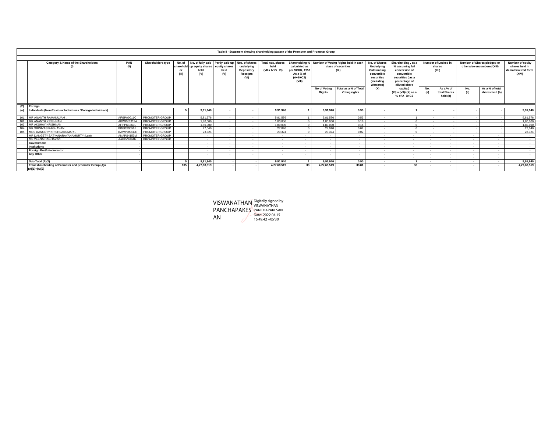|     | Table II - Statement showing shareholding pattern of the Promoter and Promoter Group |             |                       |       |                                                                                                     |                          |                                                                       |                                                    |                                                                                        |                               |                                                                     |                                                                                                                          |                                                                                                                             |        |                                        |             |                                                           |                                                                    |
|-----|--------------------------------------------------------------------------------------|-------------|-----------------------|-------|-----------------------------------------------------------------------------------------------------|--------------------------|-----------------------------------------------------------------------|----------------------------------------------------|----------------------------------------------------------------------------------------|-------------------------------|---------------------------------------------------------------------|--------------------------------------------------------------------------------------------------------------------------|-----------------------------------------------------------------------------------------------------------------------------|--------|----------------------------------------|-------------|-----------------------------------------------------------|--------------------------------------------------------------------|
|     | Category & Name of the Shareholders                                                  | PAN<br>(II) | Shareholders type     | (III) | No. of No. of fully paid Partly paid-up<br>sharehold up equity shares equity shares<br>held<br>(IV) | held<br>(V)              | Nos. of shares<br>underlying<br>Depository<br><b>Receipts</b><br>(VI) | Total nos. shares<br>held<br>$(VII = IV + V + VI)$ | Shareholding %<br>calculated as<br>per SCRR, 1957<br>As a % of<br>$(A+B+C2)$<br>(VIII) |                               | Number of Voting Rights held in each<br>class of securities<br>(IX) | No. of Shares<br>Underlying<br>Outstanding<br>convertible<br>securities<br><i><b>(including</b></i><br><b>Warrants</b> ) | Shareholding, as a<br>% assuming full<br>conversion of<br>convertible<br>securities (as a<br>percentage of<br>diluted share |        | Number of Locked in<br>shares<br>(XII) |             | Number of Shares pledged or<br>otherwise encumbered(XIII) | Number of equity<br>shares held in<br>dematerialized form<br>(XIV) |
|     |                                                                                      |             |                       |       |                                                                                                     |                          |                                                                       |                                                    |                                                                                        | No of Votina<br><b>Rights</b> | Total as a % of Total<br>Voting rights                              | (X)                                                                                                                      | capital)<br>$(XI) = (VII)+(X)$ as a<br>% of A+B+C2                                                                          |        | As a % of<br>total Shares<br>held (b)  | No.<br>(a)  | As a % of total<br>shares held (b)                        |                                                                    |
|     | Foreign                                                                              |             |                       |       |                                                                                                     |                          |                                                                       |                                                    |                                                                                        |                               |                                                                     |                                                                                                                          |                                                                                                                             |        |                                        |             |                                                           |                                                                    |
| (a) | Individuals (Non-Resident Individuals / Foreign Individuals)                         |             |                       |       | 9,91,940                                                                                            |                          |                                                                       | 9,91,940                                           |                                                                                        | 9,91,940                      | 0.90                                                                |                                                                                                                          |                                                                                                                             |        |                                        |             |                                                           | 9,91,940                                                           |
|     | MR ANANTH RAMANUJAM                                                                  | AFGPA0011C  | PROMOTER GROUP        |       | 5,81,576                                                                                            | <b>Contract Contract</b> | <b>A</b>                                                              | 5.81.576                                           |                                                                                        | 5,81,576                      | 0.53                                                                | $\sim$                                                                                                                   |                                                                                                                             |        |                                        |             |                                                           | 5,81,576                                                           |
|     | MR ANANTH KRISHNAN                                                                   | AKWPK3319A  | PROMOTER GROUP        |       | 1.80.000                                                                                            | $\sim$                   | <b>College</b>                                                        | 1.80.000                                           | $\Omega$                                                                               | 1.80.000                      | 0.16                                                                | <b>1999</b>                                                                                                              |                                                                                                                             |        |                                        |             |                                                           | 1,80,000                                                           |
|     | MR AKSHAY KRISHNAN                                                                   | AHPPK1860L  | PROMOTER GROUP        |       | 1.80.000                                                                                            | <b>COL</b>               | <b>College</b>                                                        | 1.80.000                                           | $\sqrt{2}$                                                                             | 1.80.000                      | 0.16                                                                | ×.                                                                                                                       |                                                                                                                             |        |                                        |             |                                                           | 1,80,000                                                           |
|     | MR SRINIVAS RAGHAVAN                                                                 | BBGPS9059F  | PROMOTER GROUP        |       | 27,040                                                                                              | <b>COL</b>               | $\sim$                                                                | 27,040                                             | $\Omega$                                                                               | 27,040                        | 0.02                                                                | <b>1979</b>                                                                                                              |                                                                                                                             |        |                                        |             |                                                           | 27,040                                                             |
| 105 | MRS DANGETY KRISHNAKUMARI                                                            | BAWPD5849R  | PROMOTER GROUP        |       | 23,324                                                                                              | <b>1999</b>              | $\sim$                                                                | 23.324                                             | $\Omega$                                                                               | 23,324                        | 0.02                                                                | $\sim$                                                                                                                   |                                                                                                                             |        |                                        |             |                                                           | 23,324                                                             |
|     | MR DANGETY SATYANARAYANAMURTY (Late)                                                 | ANAPS4153M  | <b>PROMOTER GROUP</b> |       | - 1                                                                                                 |                          | <b>1979</b>                                                           | . .                                                | $\mathbf{r}$                                                                           |                               | . .                                                                 |                                                                                                                          |                                                                                                                             |        | <b>1979</b>                            | <b>1999</b> |                                                           | $\sim$                                                             |
|     | MS VEENA RAGHAVAN                                                                    | AAFPV2684N  | PROMOTER GROUP        |       | . .                                                                                                 | <b>1999</b>              | <b>A</b>                                                              | <b>COL</b>                                         |                                                                                        | . .                           | $\sim$                                                              | $\sim$                                                                                                                   | $\sim$                                                                                                                      | $\sim$ | $\sim$                                 | <b>1999</b> | $\sim$                                                    | $\sim$                                                             |
|     | Government                                                                           |             |                       |       | . .                                                                                                 | <b>Contract Contract</b> | $\sim$                                                                | $\sim$                                             | $\sim$                                                                                 | . .                           | $\sim$                                                              | <b>1979</b>                                                                                                              | $\sim$                                                                                                                      | $\sim$ | $\sim$                                 | . .         | $\sim$                                                    | $\sim$                                                             |
|     | Institutions                                                                         |             |                       |       | . .                                                                                                 | <b>Contract Contract</b> | $\sim$                                                                | $\sim$                                             |                                                                                        |                               | . .                                                                 | <b>1979</b>                                                                                                              | . .                                                                                                                         |        | $\sim$                                 | <b>1999</b> | $\sim$                                                    | $\sim$                                                             |
|     | <b>Foreign Portfolio Investor</b>                                                    |             |                       |       |                                                                                                     |                          | $\sim$                                                                | $\sim$                                             |                                                                                        |                               | $\sim$                                                              |                                                                                                                          | $\sim$                                                                                                                      |        | ٠.                                     | <b>1999</b> | $\sim$                                                    | . .                                                                |
|     | Any Other                                                                            |             |                       |       | . .                                                                                                 | <b>1999</b>              | <b>1979</b>                                                           | <b>1999</b>                                        |                                                                                        | . .                           | . .                                                                 | $\sim$                                                                                                                   | . .                                                                                                                         | $\sim$ | $\sim$                                 | - 11        | $\sim$                                                    | $\sim$                                                             |
|     |                                                                                      |             |                       |       |                                                                                                     |                          |                                                                       |                                                    |                                                                                        |                               |                                                                     | <b>1979</b>                                                                                                              | . .                                                                                                                         | $\sim$ | $\sim$                                 | - 11        | $\sim$                                                    |                                                                    |
|     | Sub-Total (A)(2)                                                                     |             |                       |       | 9.91.940                                                                                            |                          |                                                                       | 9.91.940                                           |                                                                                        | 9.91.940                      | 0.90                                                                | <b>1979</b>                                                                                                              |                                                                                                                             | . .    | . .                                    | <b>1999</b> | . .                                                       | 9.91.940                                                           |
|     | Total shareholding of Promoter and promoter Group (A)=<br>$(A)(1)+(A)(2)$            |             |                       | 105   | 4,27,68,519                                                                                         |                          |                                                                       | 4.27.68.519                                        | 38                                                                                     | 4,27,68,519                   | 38.81                                                               |                                                                                                                          | 38                                                                                                                          |        | <b>1979</b>                            | <b>1999</b> |                                                           | 4,27,68,519                                                        |

VISWANATHAN PANCHAPAKES AN Digitally signed by VISWANATHAN PANCHAPAKESAN Date: 2022.04.15 16:49:42 +05'30'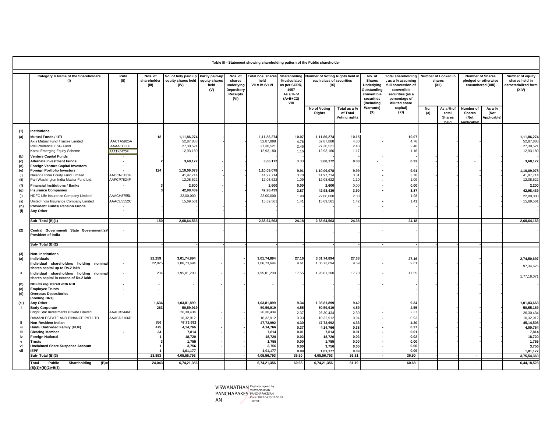|                           | Table III - Statement showing shareholding pattern of the Public shareholder                                                                           |                          |                                 |                                                                   |                              |                                                                          |                                                    |                                                                                         |                                                    |                                                  |                         |                              |            |                                             |                                                   |                               |                                                    |  |                                                                                                        |                                                                                                                                         |  |                                        |                         |                                           |                                                                    |
|---------------------------|--------------------------------------------------------------------------------------------------------------------------------------------------------|--------------------------|---------------------------------|-------------------------------------------------------------------|------------------------------|--------------------------------------------------------------------------|----------------------------------------------------|-----------------------------------------------------------------------------------------|----------------------------------------------------|--------------------------------------------------|-------------------------|------------------------------|------------|---------------------------------------------|---------------------------------------------------|-------------------------------|----------------------------------------------------|--|--------------------------------------------------------------------------------------------------------|-----------------------------------------------------------------------------------------------------------------------------------------|--|----------------------------------------|-------------------------|-------------------------------------------|--------------------------------------------------------------------|
|                           | Category & Name of the Shareholders<br>(1)                                                                                                             | PAN<br>(II)              | Nos. of<br>shareholder<br>(III) | No. of fully paid up Partly paid-up<br>equity shares held<br>(IV) | equity shares<br>held<br>(V) | Nos. of<br>shares<br>underlying<br>Depository<br><b>Receipts</b><br>(VI) | Total nos. shares<br>held<br>$VII = IV + V + VI$   | Shareholding<br>% calculated<br>as per SCRR,<br>1957<br>As a % of<br>$(A+B+C2)$<br>VIII | each class of securities<br>(IX)                   |                                                  |                         |                              |            |                                             |                                                   |                               | Number of Voting Rights held in                    |  | No. of<br><b>Shares</b><br><b>Underlying</b><br>Outstanding<br>convertible<br>securities<br>(including | <b>Total shareholding</b><br>as a % assuming<br>full conversion of<br>convertible<br>securities (as a<br>percentage of<br>diluted share |  | Number of Locked in<br>shares<br>(XII) | <b>Number of Shares</b> | pledged or otherwise<br>encumbered (XIII) | Number of equity<br>shares held in<br>dematerialized form<br>(XIV) |
|                           |                                                                                                                                                        |                          |                                 |                                                                   |                              |                                                                          |                                                    |                                                                                         | No of Voting<br><b>Rights</b>                      | Total as a %<br>of Total<br><b>Voting rights</b> | <b>Warrants)</b><br>(X) | capital)<br>(XI)             | No.<br>(a) | As a % of<br>total<br><b>Shares</b><br>held | Number of<br><b>Shares</b><br>(Not<br>Applicable) | As a %<br>(Not<br>Applicable) |                                                    |  |                                                                                                        |                                                                                                                                         |  |                                        |                         |                                           |                                                                    |
| (1)<br>(a)                | nstitutions<br>Mutual Funds / UTI<br>Axis Mutual Fund Trustee Limited                                                                                  | AACTA5925A               | 18                              | 1,11,86,274<br>52,87,888                                          |                              |                                                                          | 1,11,86,274<br>52,87,888                           | 10.07<br>4.76                                                                           | 1,11,86,274<br>52,87,888                           | 10.15<br>4.80                                    |                         | 10.07<br>4.76                |            |                                             |                                                   |                               | 1,11,86,274<br>52,87,888                           |  |                                                                                                        |                                                                                                                                         |  |                                        |                         |                                           |                                                                    |
| (b)<br>(c)                | Icici Prudential ESG Fund<br><b>Kotak Emerging Equity Scheme</b><br>Venture Capital Funds<br><b>Alternate Investment Funds</b>                         | AAAAI0038F<br>AAATK4475F |                                 | 27,30,52<br>12,93,18<br>3,68,172                                  |                              |                                                                          | 27,30,521<br>12,93,180<br>3,68,172                 | 2.46<br>1.16<br>0.33                                                                    | 27,30,521<br>12,93,180<br>3,68,172                 | 2.48<br>1.17<br>0.33                             |                         | 2.46<br>1.16<br>0.33         |            |                                             |                                                   |                               | 27,30,521<br>12,93,180<br>3,68,172                 |  |                                                                                                        |                                                                                                                                         |  |                                        |                         |                                           |                                                                    |
| (d)<br>(e)<br>(i)<br>(ii) | <b>Foreign Venture Capital Investors</b><br>Foreign Portfolio Investors<br>Nalanda India Equity Fund Limited<br>Pari Washington India Master Fund Ltd. | AADCN6131F<br>AAFCP7824F | 124                             | 1,10,09,078<br>41,97,714<br>12,08,622                             |                              |                                                                          | 1,10,09,078<br>41,97,714<br>12,08,622              | 9.91<br>3.78<br>1.09                                                                    | 1,10,09,078<br>41,97,71<br>12,08,622               | 9.99<br>3.81<br>1.10                             |                         | 9.91<br>3.78<br>1.09         |            |                                             |                                                   |                               | 1,10,09,078<br>41,97,714<br>12,08,622              |  |                                                                                                        |                                                                                                                                         |  |                                        |                         |                                           |                                                                    |
| (f)<br>(g)<br>(i)<br>(ii) | <b>Financial Institutions / Banks</b><br><b>Insurance Companies</b><br>HDFC Life Insurance Company Limited<br>Jnited India Insurance Company Limited   | AAACH8755L<br>AAACU5552C |                                 | 2,600<br>42,98,439<br>22,00,000<br>15,69,561                      |                              |                                                                          | 2,600<br>42,98,439<br>22,00,000<br>15,69,561       | 0.00<br>3.87<br>1.98<br>1.41                                                            | 2,600<br>42,98,439<br>22,00,000<br>15,69,561       | 0.00<br>3.90<br>2.00<br>1.42                     |                         | 0.00<br>3.87<br>1.98<br>1.41 |            |                                             |                                                   |                               | 2,200<br>42,98,439<br>22,00,000<br>15,69,561       |  |                                                                                                        |                                                                                                                                         |  |                                        |                         |                                           |                                                                    |
| (h)<br>(i)                | <b>Provident Funds/ Pension Funds</b><br>Any Other<br>Sub-Total (B)(1)                                                                                 |                          | 150                             | 2,68,64,563                                                       |                              |                                                                          | 2,68,64,563                                        | 24.18                                                                                   | 2,68,64,563                                        | 24.38                                            |                         | 24.18                        |            |                                             |                                                   |                               | 2,68,64,163                                        |  |                                                                                                        |                                                                                                                                         |  |                                        |                         |                                           |                                                                    |
| (2)                       | Central Government/ State Government(s)/<br><b>President of India</b>                                                                                  | $\overline{\phantom{a}}$ |                                 |                                                                   |                              |                                                                          |                                                    |                                                                                         |                                                    |                                                  |                         |                              |            |                                             |                                                   |                               |                                                    |  |                                                                                                        |                                                                                                                                         |  |                                        |                         |                                           |                                                                    |
|                           | Sub-Total (B)(2)                                                                                                                                       |                          |                                 |                                                                   |                              |                                                                          |                                                    |                                                                                         |                                                    |                                                  |                         |                              |            |                                             |                                                   |                               |                                                    |  |                                                                                                        |                                                                                                                                         |  |                                        |                         |                                           |                                                                    |
| (3)<br>(a)                | <b>Non-Institutions</b><br><b>Individuals</b><br>Individual shareholders holding nominal<br>shares capital up to Rs.2 lakh                             | $\overline{\phantom{a}}$ | 22,259<br>22,025                | 3,01,74,894<br>1,06,73,694                                        |                              |                                                                          | 3,01,74,894<br>1,06,73,694                         | 27.16<br>9.61                                                                           | 3,01,74,894<br>1,06,73,694                         | 27.38<br>9.69                                    |                         | 27.16<br>9.61                |            |                                             |                                                   |                               | 2,74,50,697<br>97,34,626                           |  |                                                                                                        |                                                                                                                                         |  |                                        |                         |                                           |                                                                    |
|                           | Individual shareholders holding<br>nominal<br>shares capital in excess of Rs.2 lakh                                                                    |                          | 234                             | 1,95,01,200                                                       |                              |                                                                          | 1,95,01,200                                        | 17.55                                                                                   | 1,95,01,200                                        | 17.70                                            |                         | 17.55                        |            |                                             |                                                   |                               | 1,77,16,071                                        |  |                                                                                                        |                                                                                                                                         |  |                                        |                         |                                           |                                                                    |
| (b)<br>(c)<br>(d)         | <b>NBFCs registered with RBI</b><br><b>Employee Trusts</b><br><b>Overseas Depositories</b><br>(holding DRs)                                            | $\overline{\phantom{a}}$ |                                 |                                                                   |                              |                                                                          |                                                    |                                                                                         |                                                    |                                                  |                         |                              |            |                                             |                                                   |                               |                                                    |  |                                                                                                        |                                                                                                                                         |  |                                        |                         |                                           |                                                                    |
| (e)                       | Any Other<br><b>Body Corporate</b><br><b>Bright Star Investments Private Limited</b><br>DAMANI ESTATE AND FINANCE PVT LTD                              | AAACB2446C<br>AAACD2106P | 1,634<br>263                    | 1,03,81,899<br>50,59,919<br>26,30,434<br>10,32,912                |                              |                                                                          | 1,03,81,899<br>50,59,919<br>26,30,434<br>10,32,912 | 9.34<br>4.55<br>2.37<br>0.93                                                            | 1,03,81,899<br>50,59,919<br>26,30,434<br>10,32,912 | 9.42<br>4.59<br>2.39<br>0.94                     |                         | 9.34<br>4.55<br>2.37<br>0.93 |            |                                             |                                                   |                               | 1,01,03,663<br>50,55,169<br>26,30,434<br>10,32,912 |  |                                                                                                        |                                                                                                                                         |  |                                        |                         |                                           |                                                                    |
| ii.<br>iii<br>iii<br>iv   | Non-Resident Indian<br>Hindu Undivided Family (HUF)<br><b>Clearing Member</b><br>Foreign National                                                      | $\blacksquare$           | 856<br>475<br>34                | 47,73,992<br>4,14,766<br>7,814<br>18,720                          |                              |                                                                          | 47,73,992<br>4,14,766<br>7,814<br>18,720           | 4.30<br>0.37<br>0.01<br>0.02                                                            | 47,73,992<br>4,14,766<br>7,814<br>18,720           | 4.33<br>0.38<br>0.01<br>0.02                     |                         | 4.30<br>0.37<br>0.01<br>0.02 |            |                                             |                                                   |                               | 45,14,508<br>4,00,764<br>7,814<br>18,720           |  |                                                                                                        |                                                                                                                                         |  |                                        |                         |                                           |                                                                    |
| $\mathbf{v}$<br>vi<br>vii | Trusts<br><b>Unclaimed Share Suspense Account</b><br>EPF                                                                                               |                          |                                 | 1,755<br>3,756<br>1,01,177                                        |                              |                                                                          | 1,755<br>3,756<br>1,01,177                         | 0.00<br>0.00<br>0.09                                                                    | 1,755<br>3,756<br>1,01,177                         | 0.00<br>0.00<br>0.09                             |                         | 0.00<br>0.00<br>0.09         |            |                                             |                                                   |                               | 1,755<br>3,756<br>1,01,177                         |  |                                                                                                        |                                                                                                                                         |  |                                        |                         |                                           |                                                                    |
|                           | Sub-Total (B)(3)                                                                                                                                       |                          | 23,893                          | 4,05,56,793                                                       |                              |                                                                          | 4,05,56,793                                        | 36.50                                                                                   | 4,05,56,793                                        | 36.81                                            |                         | 36.50                        |            |                                             |                                                   |                               | 3,75,54,360                                        |  |                                                                                                        |                                                                                                                                         |  |                                        |                         |                                           |                                                                    |
|                           | Public<br>Shareholding<br>$(B)$ =<br>Total<br>$(B)(1)+(B)(2)+B(3)$                                                                                     |                          | 24,043                          | 6,74,21,356                                                       |                              |                                                                          | 6,74,21,356                                        | 60.68                                                                                   | 6,74,21,356                                        | 61.19                                            |                         | 60.68                        |            |                                             |                                                   |                               | 6,44,18,523                                        |  |                                                                                                        |                                                                                                                                         |  |                                        |                         |                                           |                                                                    |